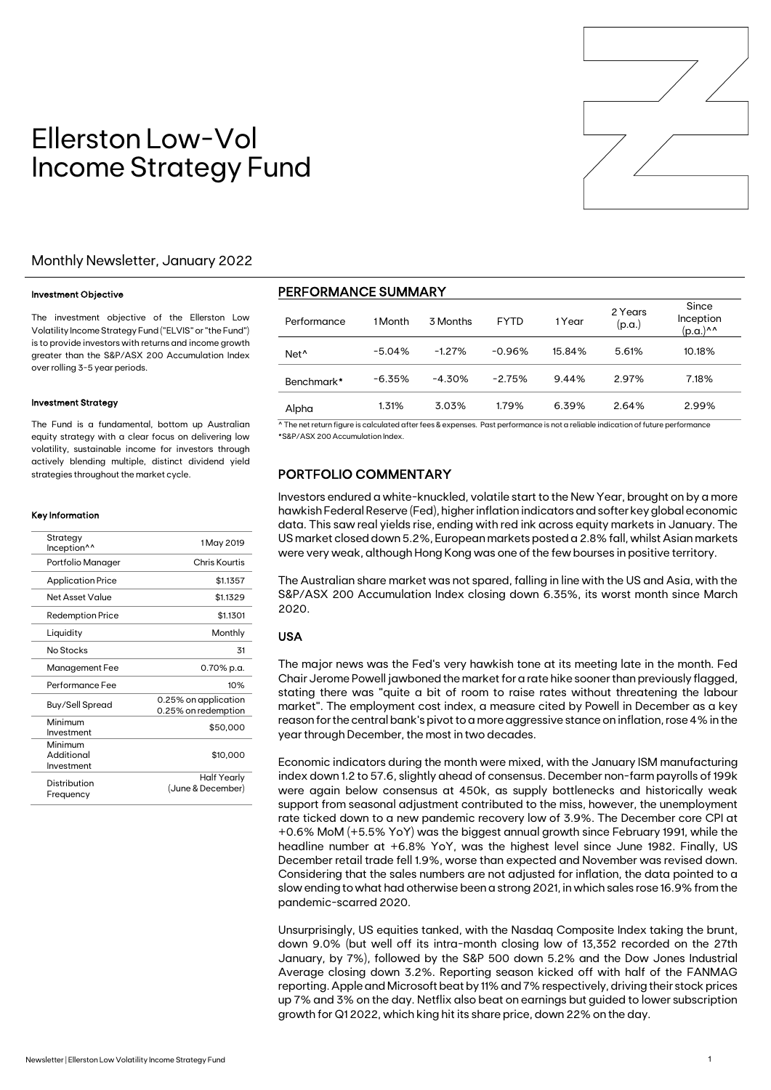

# Ellerston Low-Vol Income Strategy Fund

### Monthly Newsletter, January 2022

#### Investment Objective

The investment objective of the Ellerston Low Volatility Income Strategy Fund ("ELVIS" or "the Fund") is to provide investors with returns and income growth greater than the S&P/ASX 200 Accumulation Index over rolling 3-5 year periods.

#### Investment Strategy

The Fund is a fundamental, bottom up Australian equity strategy with a clear focus on delivering low volatility, sustainable income for investors through actively blending multiple, distinct dividend yield strategies throughout the market cycle.

#### Key Information

| Strategy<br>Inception <sup>^^</sup> | 1 May 2019                                  |
|-------------------------------------|---------------------------------------------|
| Portfolio Manager                   | Chris Kourtis                               |
| <b>Application Price</b>            | \$1.1357                                    |
| Net Asset Value                     | \$1.1329                                    |
| <b>Redemption Price</b>             | \$1.1301                                    |
| Liquidity                           | Monthly                                     |
| No Stocks                           | 31                                          |
| Management Fee                      | 0.70% p.a.                                  |
| Performance Fee                     | 10%                                         |
| Buy/Sell Spread                     | 0.25% on application<br>0.25% on redemption |
| Minimum<br>Investment               | \$50,000                                    |
| Minimum<br>Additional<br>Investment | \$10,000                                    |
| Distribution<br>Frequency           | Half Yearly<br>(June & December)            |

## PERFORMANCE SUMMARY

| Performance      | 1 Month   | 3 Months | <b>FYTD</b> | 1 Year | 2 Years<br>(p.a.) | Since<br>Inception<br>$(p.a.)^{\wedge \wedge}$ |
|------------------|-----------|----------|-------------|--------|-------------------|------------------------------------------------|
| Net <sup>^</sup> | $-5.04%$  | $-1.27%$ | $-0.96%$    | 15.84% | 5.61%             | 10.18%                                         |
| Benchmark*       | $-6.35\%$ | $-4.30%$ | $-2.75%$    | 9.44%  | 2.97%             | 7.18%                                          |
| Alpha            | 1.31%     | 3.03%    | 1.79%       | 6.39%  | 2.64%             | 2.99%                                          |

^ The net return figure is calculated after fees & expenses. Past performance is not a reliable indication of future performance \*S&P/ASX 200 Accumulation Index.

## PORTFOLIO COMMENTARY

Investors endured a white-knuckled, volatile start to the New Year, brought on by a more hawkish Federal Reserve (Fed), higher inflation indicators and softer key global economic data. This saw real yields rise, ending with red ink across equity markets in January. The US market closed down 5.2%, European markets posted a 2.8% fall, whilst Asian markets were very weak, although Hong Kong was one of the few bourses in positive territory.

The Australian share market was not spared, falling in line with the US and Asia, with the S&P/ASX 200 Accumulation Index closing down 6.35%, its worst month since March 2020.

#### USA

The major news was the Fed's very hawkish tone at its meeting late in the month. Fed Chair Jerome Powell jawboned the market for a rate hike sooner than previously flagged, stating there was "quite a bit of room to raise rates without threatening the labour market". The employment cost index, a measure cited by Powell in December as a key reason for the central bank's pivot to a more aggressive stance on inflation, rose 4% in the year through December, the most in two decades.

Economic indicators during the month were mixed, with the January ISM manufacturing index down 1.2 to 57.6, slightly ahead of consensus. December non-farm payrolls of 199k were again below consensus at 450k, as supply bottlenecks and historically weak support from seasonal adjustment contributed to the miss, however, the unemployment rate ticked down to a new pandemic recovery low of 3.9%. The December core CPI at +0.6% MoM (+5.5% YoY) was the biggest annual growth since February 1991, while the headline number at +6.8% YoY, was the highest level since June 1982. Finally, US December retail trade fell 1.9%, worse than expected and November was revised down. Considering that the sales numbers are not adjusted for inflation, the data pointed to a slow ending to what had otherwise been a strong 2021, in which sales rose 16.9% from the pandemic-scarred 2020.

Unsurprisingly, US equities tanked, with the Nasdaq Composite Index taking the brunt, down 9.0% (but well off its intra-month closing low of 13,352 recorded on the 27th January, by 7%), followed by the S&P 500 down 5.2% and the Dow Jones Industrial Average closing down 3.2%. Reporting season kicked off with half of the FANMAG reporting. Apple and Microsoft beat by 11% and 7% respectively, driving their stock prices up 7% and 3% on the day. Netflix also beat on earnings but guided to lower subscription growth for Q1 2022, which king hit its share price, down 22% on the day.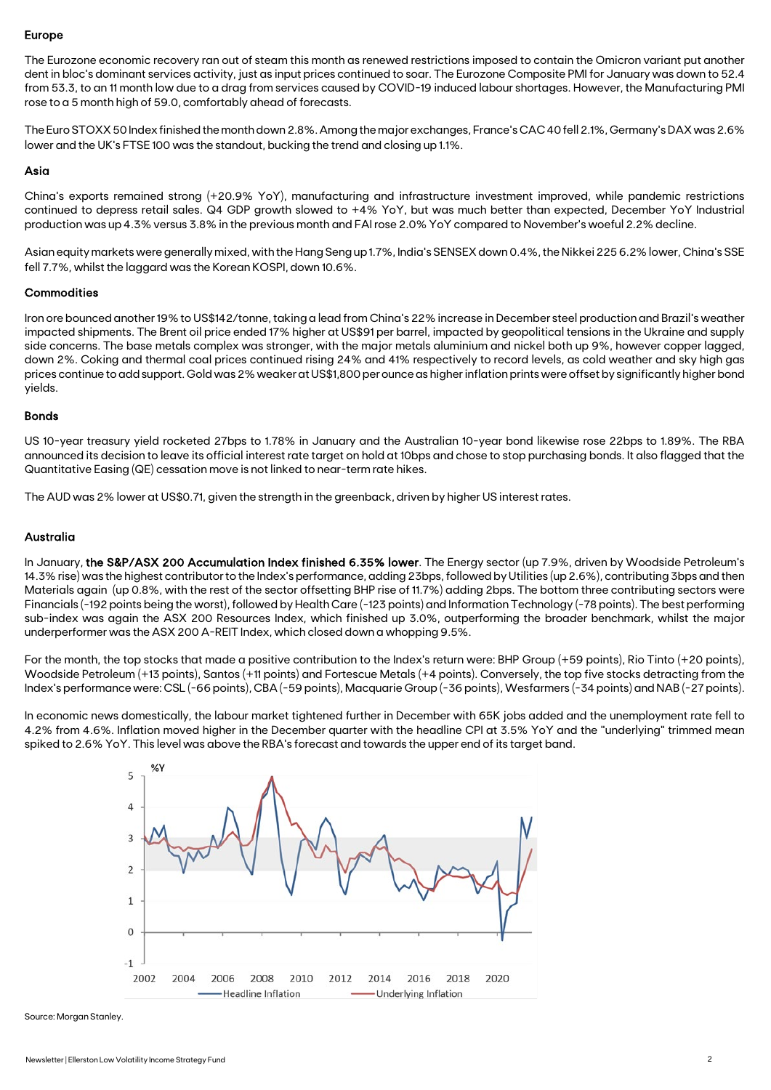#### Europe

The Eurozone economic recovery ran out of steam this month as renewed restrictions imposed to contain the Omicron variant put another dent in bloc's dominant services activity, just as input prices continued to soar. The Eurozone Composite PMI for January was down to 52.4 from 53.3, to an 11 month low due to a drag from services caused by COVID-19 induced labour shortages. However, the Manufacturing PMI rose to a 5 month high of 59.0, comfortably ahead of forecasts.

The Euro STOXX 50 Index finished the month down 2.8%. Among the major exchanges, France's CAC 40 fell 2.1%, Germany's DAX was 2.6% lower and the UK's FTSE 100 was the standout, bucking the trend and closing up 1.1%.

#### Asia

China's exports remained strong (+20.9% YoY), manufacturing and infrastructure investment improved, while pandemic restrictions continued to depress retail sales. Q4 GDP growth slowed to +4% YoY, but was much better than expected, December YoY Industrial production was up 4.3% versus 3.8% in the previous month and FAI rose 2.0% YoY compared to November's woeful 2.2% decline.

Asian equity markets were generally mixed, with the Hang Seng up 1.7%, India's SENSEX down 0.4%, the Nikkei 225 6.2% lower, China's SSE fell 7.7%, whilst the laggard was the Korean KOSPI, down 10.6%.

#### **Commodities**

Iron ore bounced another 19% to US\$142/tonne, taking a lead from China's 22% increase in December steel production and Brazil's weather impacted shipments. The Brent oil price ended 17% higher at US\$91 per barrel, impacted by geopolitical tensions in the Ukraine and supply side concerns. The base metals complex was stronger, with the major metals aluminium and nickel both up 9%, however copper lagged, down 2%. Coking and thermal coal prices continued rising 24% and 41% respectively to record levels, as cold weather and sky high gas prices continue to add support. Gold was 2% weaker at US\$1,800 per ounce as higher inflation prints were offset by significantly higher bond yields.

#### Bonds

US 10-year treasury yield rocketed 27bps to 1.78% in January and the Australian 10-year bond likewise rose 22bps to 1.89%. The RBA announced its decision to leave its official interest rate target on hold at 10bps and chose to stop purchasing bonds. It also flagged that the Quantitative Easing (QE) cessation move is not linked to near-term rate hikes.

The AUD was 2% lower at US\$0.71, given the strength in the greenback, driven by higher US interest rates.

## Australia

In January, the S&P/ASX 200 Accumulation Index finished 6.35% lower. The Energy sector (up 7.9%, driven by Woodside Petroleum's 14.3% rise) was the highest contributor to the Index's performance, adding 23bps, followed by Utilities (up 2.6%), contributing 3bps and then Materials again (up 0.8%, with the rest of the sector offsetting BHP rise of 11.7%) adding 2bps. The bottom three contributing sectors were Financials (-192 points being the worst), followed by Health Care (-123 points) and Information Technology (-78 points). The best performing sub-index was again the ASX 200 Resources Index, which finished up 3.0%, outperforming the broader benchmark, whilst the major underperformer was the ASX 200 A-REIT Index, which closed down a whopping 9.5%.

For the month, the top stocks that made a positive contribution to the Index's return were: BHP Group (+59 points), Rio Tinto (+20 points), Woodside Petroleum (+13 points), Santos (+11 points) and Fortescue Metals (+4 points). Conversely, the top five stocks detracting from the Index's performance were: CSL (-66 points), CBA (-59 points), Macquarie Group (-36 points), Wesfarmers (-34 points) and NAB (-27 points).

In economic news domestically, the labour market tightened further in December with 65K jobs added and the unemployment rate fell to 4.2% from 4.6%. Inflation moved higher in the December quarter with the headline CPI at 3.5% YoY and the "underlying" trimmed mean spiked to 2.6% YoY. This level was above the RBA's forecast and towards the upper end of its target band.



Source: Morgan Stanley.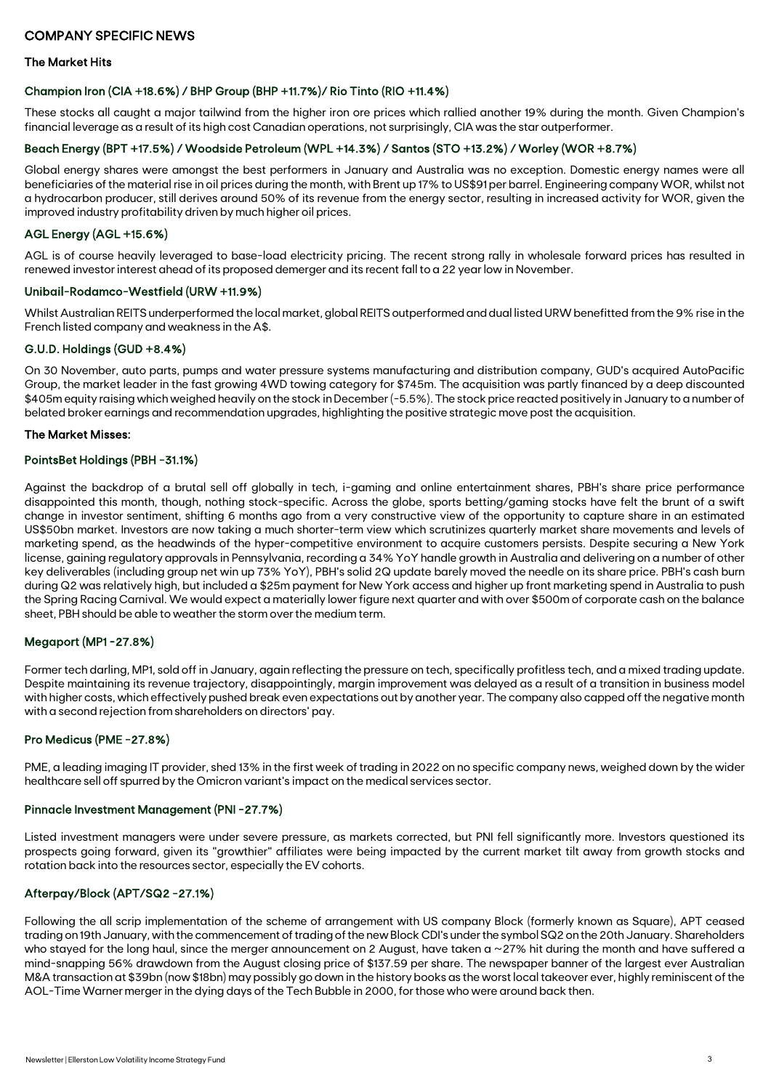### The Market Hits

#### Champion Iron (CIA +18.6%) / BHP Group (BHP +11.7%)/ Rio Tinto (RIO +11.4%)

These stocks all caught a major tailwind from the higher iron ore prices which rallied another 19% during the month. Given Champion's financial leverage as a result of its high cost Canadian operations, not surprisingly, CIA was the star outperformer.

### Beach Energy (BPT +17.5%) / Woodside Petroleum (WPL +14.3%) / Santos (STO +13.2%) / Worley (WOR +8.7%)

Global energy shares were amongst the best performers in January and Australia was no exception. Domestic energy names were all beneficiaries of the material rise in oil prices during the month, with Brent up 17% to US\$91 per barrel. Engineering company WOR, whilst not a hydrocarbon producer, still derives around 50% of its revenue from the energy sector, resulting in increased activity for WOR, given the improved industry profitability driven by much higher oil prices.

## AGL Energy (AGL +15.6%)

AGL is of course heavily leveraged to base-load electricity pricing. The recent strong rally in wholesale forward prices has resulted in renewed investor interest ahead of its proposed demerger and its recent fall to a 22 year low in November.

#### Unibail-Rodamco-Westfield (URW +11.9%)

Whilst Australian REITS underperformed the local market, global REITS outperformed and dual listed URW benefitted from the 9% rise in the French listed company and weakness in the A\$.

#### G.U.D. Holdings (GUD +8.4%)

On 30 November, auto parts, pumps and water pressure systems manufacturing and distribution company, GUD's acquired AutoPacific Group, the market leader in the fast growing 4WD towing category for \$745m. The acquisition was partly financed by a deep discounted \$405m equity raising which weighed heavily on the stock in December (-5.5%). The stock price reacted positively in January to a number of belated broker earnings and recommendation upgrades, highlighting the positive strategic move post the acquisition.

#### The Market Misses:

### PointsBet Holdings (PBH -31.1%)

Against the backdrop of a brutal sell off globally in tech, i-gaming and online entertainment shares, PBH's share price performance disappointed this month, though, nothing stock-specific. Across the globe, sports betting/gaming stocks have felt the brunt of a swift change in investor sentiment, shifting 6 months ago from a very constructive view of the opportunity to capture share in an estimated US\$50bn market. Investors are now taking a much shorter-term view which scrutinizes quarterly market share movements and levels of marketing spend, as the headwinds of the hyper-competitive environment to acquire customers persists. Despite securing a New York license, gaining regulatory approvals in Pennsylvania, recording a 34% YoY handle growth in Australia and delivering on a number of other key deliverables (including group net win up 73% YoY), PBH's solid 2Q update barely moved the needle on its share price. PBH's cash burn during Q2 was relatively high, but included a \$25m payment for New York access and higher up front marketing spend in Australia to push the Spring Racing Carnival. We would expect a materially lower figure next quarter and with over \$500m of corporate cash on the balance sheet, PBH should be able to weather the storm over the medium term.

## Megaport (MP1 -27.8%)

Former tech darling, MP1, sold off in January, again reflecting the pressure on tech, specifically profitless tech, and a mixed trading update. Despite maintaining its revenue trajectory, disappointingly, margin improvement was delayed as a result of a transition in business model with higher costs, which effectively pushed break even expectations out by another year. The company also capped off the negative month with a second rejection from shareholders on directors' pay.

#### Pro Medicus (PME -27.8%)

PME, a leading imaging IT provider, shed 13% in the first week of trading in 2022 on no specific company news, weighed down by the wider healthcare sell off spurred by the Omicron variant's impact on the medical services sector.

## Pinnacle Investment Management (PNI -27.7%)

Listed investment managers were under severe pressure, as markets corrected, but PNI fell significantly more. Investors questioned its prospects going forward, given its "growthier" affiliates were being impacted by the current market tilt away from growth stocks and rotation back into the resources sector, especially the EV cohorts.

## Afterpay/Block (APT/SQ2 -27.1%)

Following the all scrip implementation of the scheme of arrangement with US company Block (formerly known as Square), APT ceased trading on 19th January, with the commencement of trading of the new Block CDI's under the symbol SQ2 on the 20th January. Shareholders who stayed for the long haul, since the merger announcement on 2 August, have taken a ~27% hit during the month and have suffered a mind-snapping 56% drawdown from the August closing price of \$137.59 per share. The newspaper banner of the largest ever Australian M&A transaction at \$39bn (now \$18bn) may possibly go down in the history books as the worst local takeover ever, highly reminiscent of the AOL-Time Warner merger in the dying days of the Tech Bubble in 2000, for those who were around back then.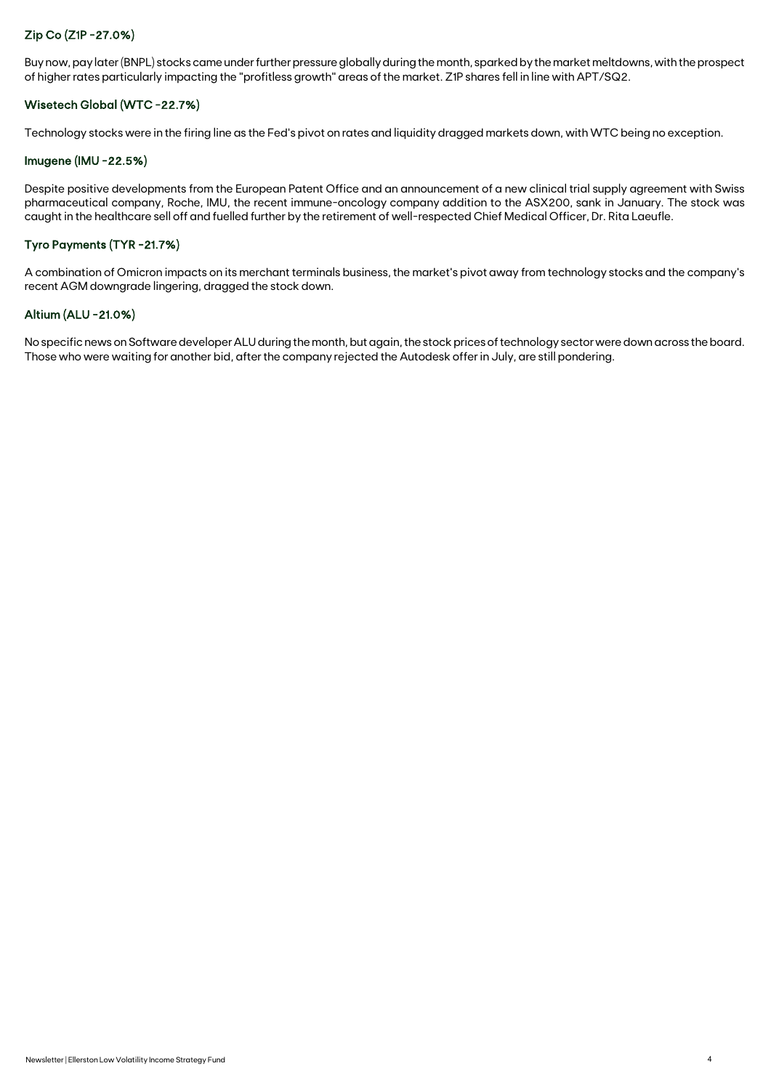## Zip Co (Z1P -27.0%)

Buy now, pay later (BNPL) stocks came under further pressure globally during the month, sparked by the market meltdowns, with the prospect of higher rates particularly impacting the "profitless growth" areas of the market. Z1P shares fell in line with APT/SQ2.

## Wisetech Global (WTC -22.7%)

Technology stocks were in the firing line as the Fed's pivot on rates and liquidity dragged markets down, with WTC being no exception.

#### Imugene (IMU -22.5%)

Despite positive developments from the European Patent Office and an announcement of a new clinical trial supply agreement with Swiss pharmaceutical company, Roche, IMU, the recent immune-oncology company addition to the ASX200, sank in January. The stock was caught in the healthcare sell off and fuelled further by the retirement of well-respected Chief Medical Officer, Dr. Rita Laeufle.

## Tyro Payments (TYR -21.7%)

A combination of Omicron impacts on its merchant terminals business, the market's pivot away from technology stocks and the company's recent AGM downgrade lingering, dragged the stock down.

### Altium (ALU -21.0%)

No specific news on Software developer ALU during the month, but again, the stock prices of technology sector were down across the board. Those who were waiting for another bid, after the company rejected the Autodesk offer in July, are still pondering.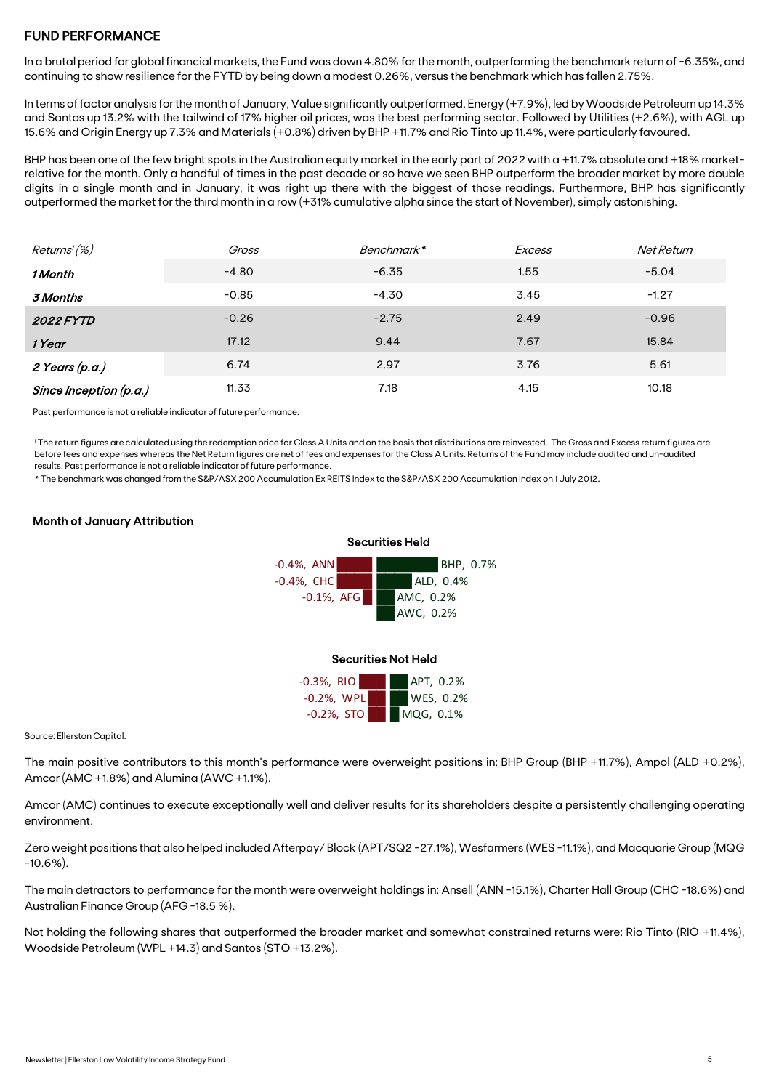## FUND PERFORMANCE

In a brutal period for global financial markets, the Fund was down 4.80% for the month, outperforming the benchmark return of -6.35%, and continuing to show resilience for the FYTD by being down a modest 0.26%, versus the benchmark which has fallen 2.75%.

In terms of factor analysis for the month of January, Value significantly outperformed. Energy (+7.9%), led by Woodside Petroleum up 14.3% and Santos up 13.2% with the tailwind of 17% higher oil prices, was the best performing sector. Followed by Utilities (+2.6%), with AGL up 15.6% and Origin Energy up 7.3% and Materials (+0.8%) driven by BHP +11.7% and Rio Tinto up 11.4%, were particularly favoured.

BHP has been one of the few bright spots in the Australian equity market in the early part of 2022 with a +11.7% absolute and +18% marketrelative for the month. Only a handful of times in the past decade or so have we seen BHP outperform the broader market by more double digits in a single month and in January, it was right up there with the biggest of those readings. Furthermore, BHP has significantly outperformed the market for the third month in a row (+31% cumulative alpha since the start of November), simply astonishing.

| Returns' (%)           | Gross   | Benchmark* | <b>Excess</b> | Net Return |
|------------------------|---------|------------|---------------|------------|
| 1 Month                | $-4.80$ | $-6.35$    | 1.55          | $-5.04$    |
| 3 Months               | $-0.85$ | $-4.30$    | 3.45          | $-1.27$    |
| <b>2022 FYTD</b>       | $-0.26$ | $-2.75$    | 2.49          | $-0.96$    |
| 1 Year                 | 17.12   | 9.44       | 7.67          | 15.84      |
| 2 Years (p.a.)         | 6.74    | 2.97       | 3.76          | 5.61       |
| Since Inception (p.a.) | 11.33   | 7.18       | 4.15          | 10.18      |

Past performance is not a reliable indicator of future performance.

1 The return figures are calculated using the redemption price for Class A Units and on the basis that distributions are reinvested. The Gross and Excess return figures are before fees and expenses whereas the Net Return figures are net of fees and expenses for the Class A Units. Returns of the Fund may include audited and un-audited results. Past performance is not a reliable indicator of future performance.

\* The benchmark was changed from the S&P/ASX 200 Accumulation Ex REITS Index to the S&P/ASX 200 Accumulation Index on 1 July 2012.

## Month of January Attribution



#### Securities Not Held

| $-0.3%$ , RIO | APT, 0.2% |
|---------------|-----------|
| $-0.2%$ , WPL | WES, 0.2% |
| $-0.2%$ , STO | MQG, 0.1% |

Source: Ellerston Capital.

The main positive contributors to this month's performance were overweight positions in: BHP Group (BHP +11.7%), Ampol (ALD +0.2%), Amcor (AMC +1.8%) and Alumina (AWC +1.1%).

Amcor (AMC) continues to execute exceptionally well and deliver results for its shareholders despite a persistently challenging operating environment.

Zero weight positions that also helped included Afterpay/ Block (APT/SQ2 -27.1%), Wesfarmers (WES -11.1%), and Macquarie Group (MQG -10.6%).

The main detractors to performance for the month were overweight holdings in: Ansell (ANN -15.1%), Charter Hall Group (CHC -18.6%) and Australian Finance Group (AFG -18.5 %).

Not holding the following shares that outperformed the broader market and somewhat constrained returns were: Rio Tinto (RIO +11.4%), Woodside Petroleum (WPL +14.3) and Santos (STO +13.2%).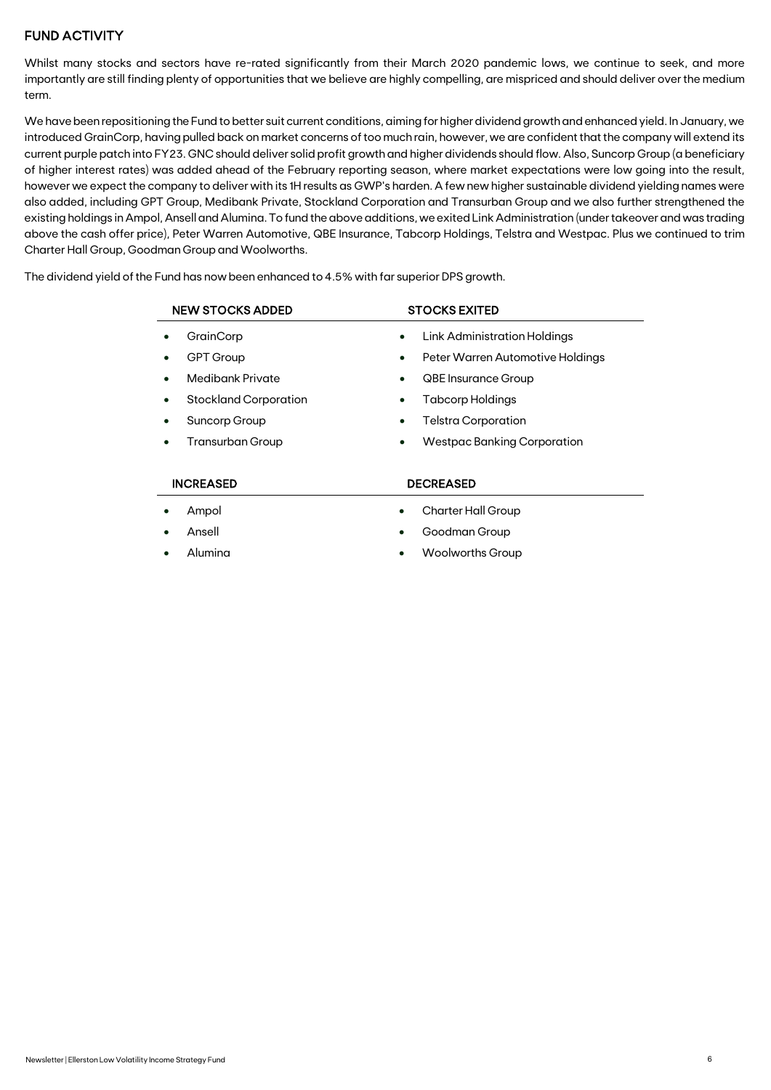## FUND ACTIVITY

Whilst many stocks and sectors have re-rated significantly from their March 2020 pandemic lows, we continue to seek, and more importantly are still finding plenty of opportunities that we believe are highly compelling, are mispriced and should deliver over the medium term.

We have been repositioning the Fund to better suit current conditions, aiming for higher dividend growth and enhanced yield. In January, we introduced GrainCorp, having pulled back on market concerns of too much rain, however, we are confident that the company will extend its current purple patch into FY23. GNC should deliver solid profit growth and higher dividends should flow. Also, Suncorp Group (a beneficiary of higher interest rates) was added ahead of the February reporting season, where market expectations were low going into the result, however we expect the company to deliver with its 1H results as GWP's harden. A few new higher sustainable dividend yielding names were also added, including GPT Group, Medibank Private, Stockland Corporation and Transurban Group and we also further strengthened the existing holdings in Ampol, Ansell and Alumina. To fund the above additions, we exited Link Administration (under takeover and was trading above the cash offer price), Peter Warren Automotive, QBE Insurance, Tabcorp Holdings, Telstra and Westpac. Plus we continued to trim Charter Hall Group, Goodman Group and Woolworths.

The dividend yield of the Fund has now been enhanced to 4.5% with far superior DPS growth.

| <b>NEW STOCKS ADDED</b>    | <b>STOCKS EXITED</b>                          |  |  |
|----------------------------|-----------------------------------------------|--|--|
| GrainCorp                  | Link Administration Holdings<br>$\bullet$     |  |  |
| <b>GPT Group</b>           | Peter Warren Automotive Holdings<br>$\bullet$ |  |  |
| <b>Medibank Private</b>    | <b>QBE Insurance Group</b><br>$\bullet$       |  |  |
| Stockland Corporation<br>٠ | <b>Tabcorp Holdings</b><br>$\bullet$          |  |  |
| Suncorp Group<br>$\bullet$ | Telstra Corporation<br>$\bullet$              |  |  |
| <b>Transurban Group</b>    | Westpac Banking Corporation<br>$\bullet$      |  |  |
|                            |                                               |  |  |
| <b>INCREASED</b>           | <b>DECREASED</b>                              |  |  |
| Ampol                      | <b>Charter Hall Group</b><br>$\bullet$        |  |  |

- Ansell
- Alumina
- Goodman Group
- Woolworths Group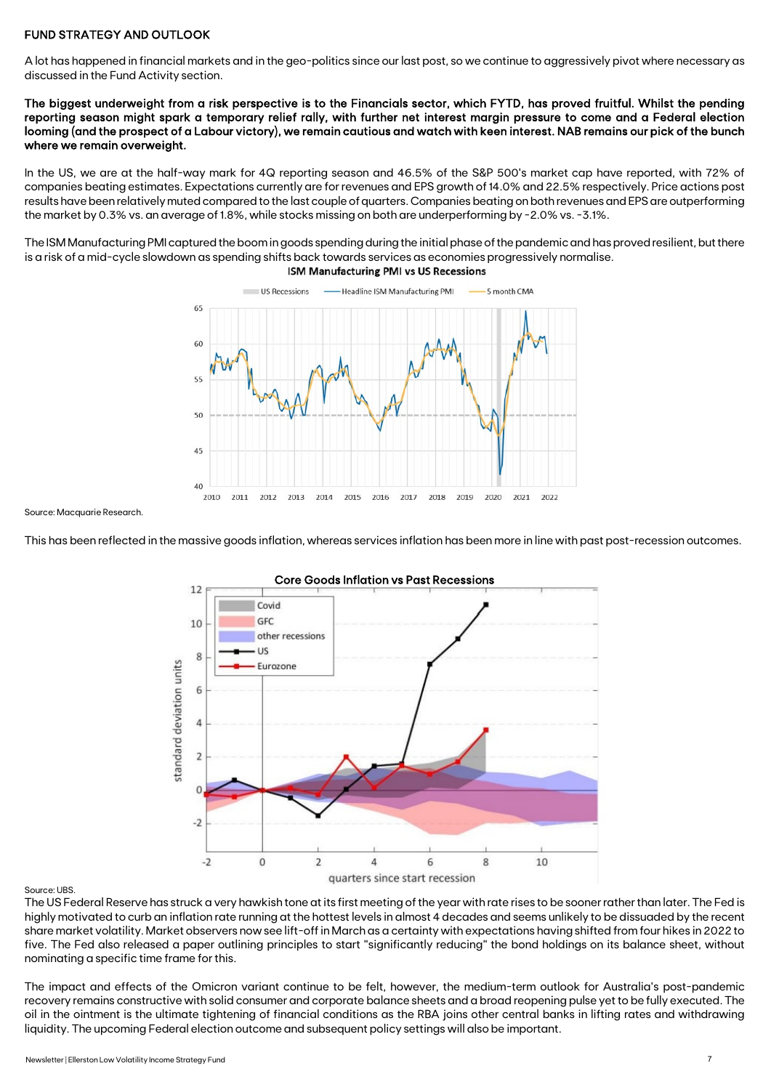## FUND STRATEGY AND OUTLOOK

A lot has happened in financial markets and in the geo-politics since our last post, so we continue to aggressively pivot where necessary as discussed in the Fund Activity section.

The biggest underweight from a risk perspective is to the Financials sector, which FYTD, has proved fruitful. Whilst the pending reporting season might spark a temporary relief rally, with further net interest margin pressure to come and a Federal election looming (and the prospect of a Labour victory), we remain cautious and watch with keen interest. NAB remains our pick of the bunch where we remain overweight.

In the US, we are at the half-way mark for 4Q reporting season and 46.5% of the S&P 500's market cap have reported, with 72% of companies beating estimates. Expectations currently are for revenues and EPS growth of 14.0% and 22.5% respectively. Price actions post results have been relatively muted compared to the last couple of quarters. Companies beating on both revenues and EPS are outperforming the market by 0.3% vs. an average of 1.8%, while stocks missing on both are underperforming by -2.0% vs. -3.1%.

The ISM Manufacturing PMI captured the boom in goods spending during the initial phase of the pandemic and has proved resilient, but there is a risk of a mid-cycle slowdown as spending shifts back towards services as economies progressively normalise.



Source: Macquarie Research.

This has been reflected in the massive goods inflation, whereas services inflation has been more in line with past post-recession outcomes.



Source: UBS.

The US Federal Reserve has struck a very hawkish tone at its first meeting of the year with rate rises to be sooner rather than later. The Fed is highly motivated to curb an inflation rate running at the hottest levels in almost 4 decades and seems unlikely to be dissuaded by the recent share market volatility. Market observers now see lift-off in March as a certainty with expectations having shifted from four hikes in 2022 to five. The Fed also released a paper outlining principles to start "significantly reducing" the bond holdings on its balance sheet, without nominating a specific time frame for this.

The impact and effects of the Omicron variant continue to be felt, however, the medium-term outlook for Australia's post-pandemic recovery remains constructive with solid consumer and corporate balance sheets and a broad reopening pulse yet to be fully executed. The oil in the ointment is the ultimate tightening of financial conditions as the RBA joins other central banks in lifting rates and withdrawing liquidity. The upcoming Federal election outcome and subsequent policy settings will also be important.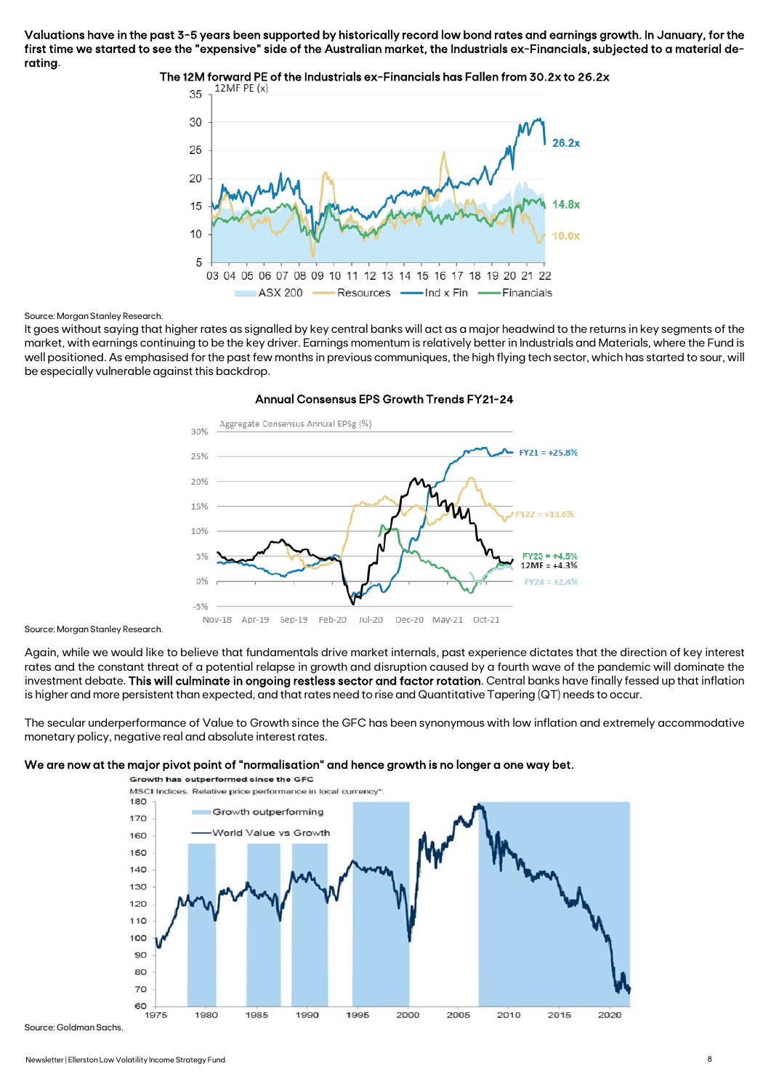Valuations have in the past 3-5 years been supported by historically record low bond rates and earnings growth. In January, for the first time we started to see the "expensive" side of the Australian market, the Industrials ex-Financials, subjected to a material derating.



The 12M forward PE of the Industrials ex-Financials has Fallen from 30.2x to 26.2x<br> $\frac{12\text{me}}{2}$  =  $\frac{12\text{Me}}{2}$  F (x)

#### Source: Morgan Stanley Research.

It goes without saying that higher rates as signalled by key central banks will act as a major headwind to the returns in key segments of the market, with earnings continuing to be the key driver. Earnings momentum is relatively better in Industrials and Materials, where the Fund is well positioned. As emphasised for the past few months in previous communiques, the high flying tech sector, which has started to sour, will be especially vulnerable against this backdrop.



## Annual Consensus EPS Growth Trends FY21-24

Source: Morgan Stanley Research.

Again, while we would like to believe that fundamentals drive market internals, past experience dictates that the direction of key interest rates and the constant threat of a potential relapse in growth and disruption caused by a fourth wave of the pandemic will dominate the investment debate. This will culminate in ongoing restless sector and factor rotation. Central banks have finally fessed up that inflation is higher and more persistent than expected, and that rates need to rise and Quantitative Tapering (QT) needs to occur.

The secular underperformance of Value to Growth since the GFC has been synonymous with low inflation and extremely accommodative monetary policy, negative real and absolute interest rates.

#### We are now at the major pivot point of "normalisation" and hence growth is no longer a one way bet.



Source: Goldman Sachs.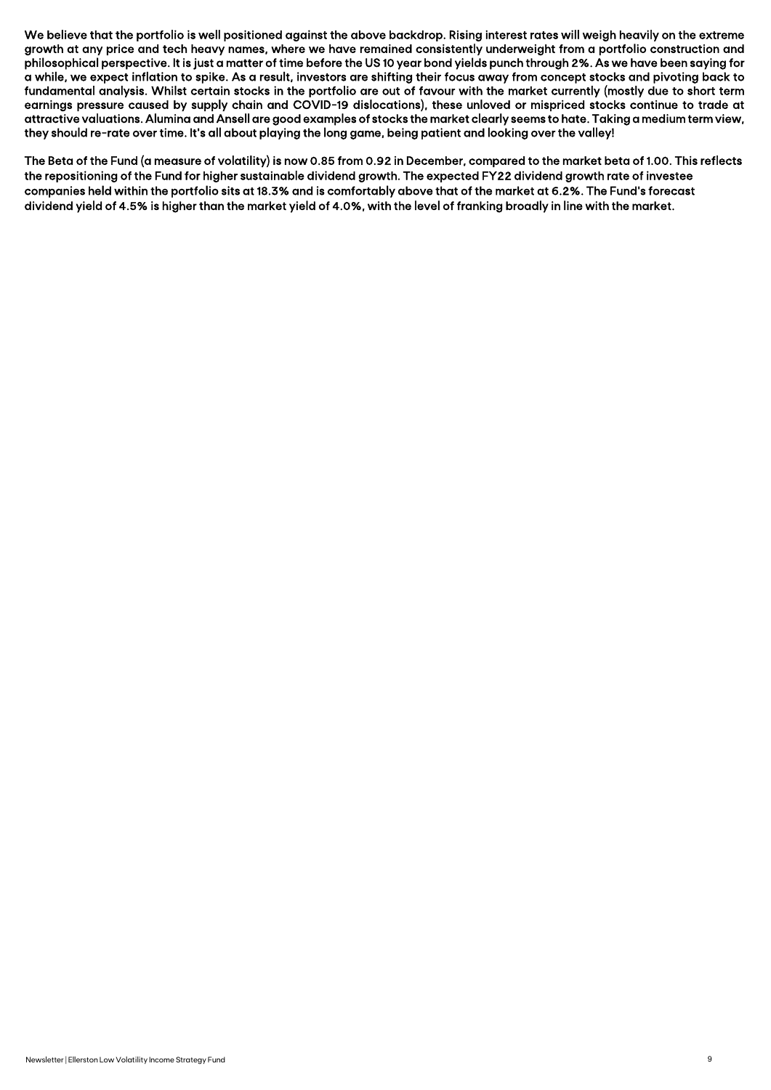We believe that the portfolio is well positioned against the above backdrop. Rising interest rates will weigh heavily on the extreme growth at any price and tech heavy names, where we have remained consistently underweight from a portfolio construction and philosophical perspective. It is just a matter of time before the US 10 year bond yields punch through 2%. As we have been saying for a while, we expect inflation to spike. As a result, investors are shifting their focus away from concept stocks and pivoting back to fundamental analysis. Whilst certain stocks in the portfolio are out of favour with the market currently (mostly due to short term earnings pressure caused by supply chain and COVID-19 dislocations), these unloved or mispriced stocks continue to trade at attractive valuations. Alumina and Ansell are good examples of stocks the market clearly seems to hate. Taking a medium term view, they should re-rate over time. It's all about playing the long game, being patient and looking over the valley!

The Beta of the Fund (a measure of volatility) is now 0.85 from 0.92 in December, compared to the market beta of 1.00. This reflects the repositioning of the Fund for higher sustainable dividend growth. The expected FY22 dividend growth rate of investee companies held within the portfolio sits at 18.3% and is comfortably above that of the market at 6.2%. The Fund's forecast dividend yield of 4.5% is higher than the market yield of 4.0%, with the level of franking broadly in line with the market.